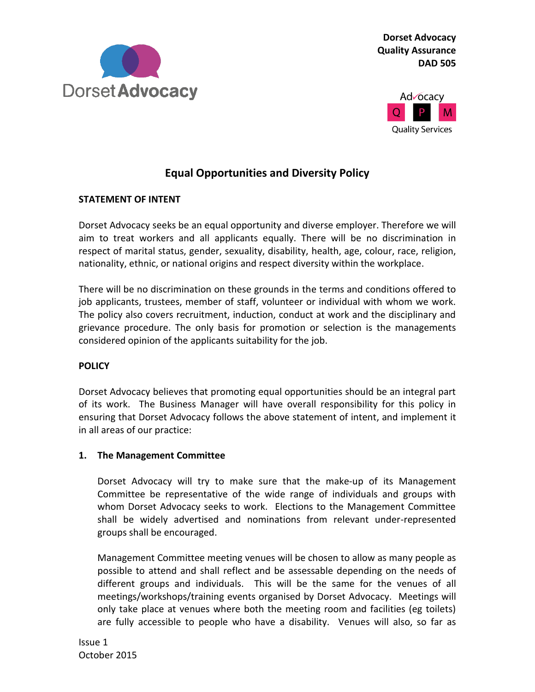

**Dorset Advocacy Quality Assurance DAD 505**



# **Equal Opportunities and Diversity Policy**

### **STATEMENT OF INTENT**

Dorset Advocacy seeks be an equal opportunity and diverse employer. Therefore we will aim to treat workers and all applicants equally. There will be no discrimination in respect of marital status, gender, sexuality, disability, health, age, colour, race, religion, nationality, ethnic, or national origins and respect diversity within the workplace.

There will be no discrimination on these grounds in the terms and conditions offered to job applicants, trustees, member of staff, volunteer or individual with whom we work. The policy also covers recruitment, induction, conduct at work and the disciplinary and grievance procedure. The only basis for promotion or selection is the managements considered opinion of the applicants suitability for the job.

#### **POLICY**

Dorset Advocacy believes that promoting equal opportunities should be an integral part of its work. The Business Manager will have overall responsibility for this policy in ensuring that Dorset Advocacy follows the above statement of intent, and implement it in all areas of our practice:

#### **1. The Management Committee**

Dorset Advocacy will try to make sure that the make-up of its Management Committee be representative of the wide range of individuals and groups with whom Dorset Advocacy seeks to work. Elections to the Management Committee shall be widely advertised and nominations from relevant under-represented groups shall be encouraged.

Management Committee meeting venues will be chosen to allow as many people as possible to attend and shall reflect and be assessable depending on the needs of different groups and individuals. This will be the same for the venues of all meetings/workshops/training events organised by Dorset Advocacy. Meetings will only take place at venues where both the meeting room and facilities (eg toilets) are fully accessible to people who have a disability. Venues will also, so far as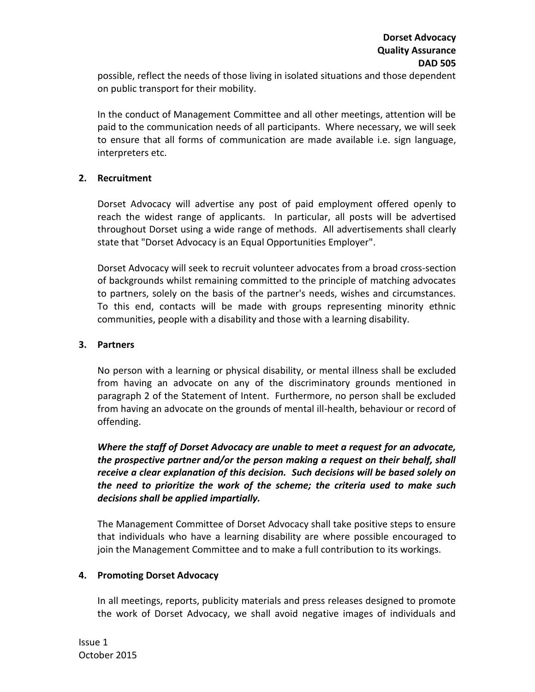possible, reflect the needs of those living in isolated situations and those dependent on public transport for their mobility.

In the conduct of Management Committee and all other meetings, attention will be paid to the communication needs of all participants. Where necessary, we will seek to ensure that all forms of communication are made available i.e. sign language, interpreters etc.

#### **2. Recruitment**

Dorset Advocacy will advertise any post of paid employment offered openly to reach the widest range of applicants. In particular, all posts will be advertised throughout Dorset using a wide range of methods. All advertisements shall clearly state that "Dorset Advocacy is an Equal Opportunities Employer".

Dorset Advocacy will seek to recruit volunteer advocates from a broad cross-section of backgrounds whilst remaining committed to the principle of matching advocates to partners, solely on the basis of the partner's needs, wishes and circumstances. To this end, contacts will be made with groups representing minority ethnic communities, people with a disability and those with a learning disability.

#### **3. Partners**

No person with a learning or physical disability, or mental illness shall be excluded from having an advocate on any of the discriminatory grounds mentioned in paragraph 2 of the Statement of Intent. Furthermore, no person shall be excluded from having an advocate on the grounds of mental ill-health, behaviour or record of offending.

*Where the staff of Dorset Advocacy are unable to meet a request for an advocate, the prospective partner and/or the person making a request on their behalf, shall receive a clear explanation of this decision. Such decisions will be based solely on the need to prioritize the work of the scheme; the criteria used to make such decisions shall be applied impartially.*

The Management Committee of Dorset Advocacy shall take positive steps to ensure that individuals who have a learning disability are where possible encouraged to join the Management Committee and to make a full contribution to its workings.

## **4. Promoting Dorset Advocacy**

In all meetings, reports, publicity materials and press releases designed to promote the work of Dorset Advocacy, we shall avoid negative images of individuals and